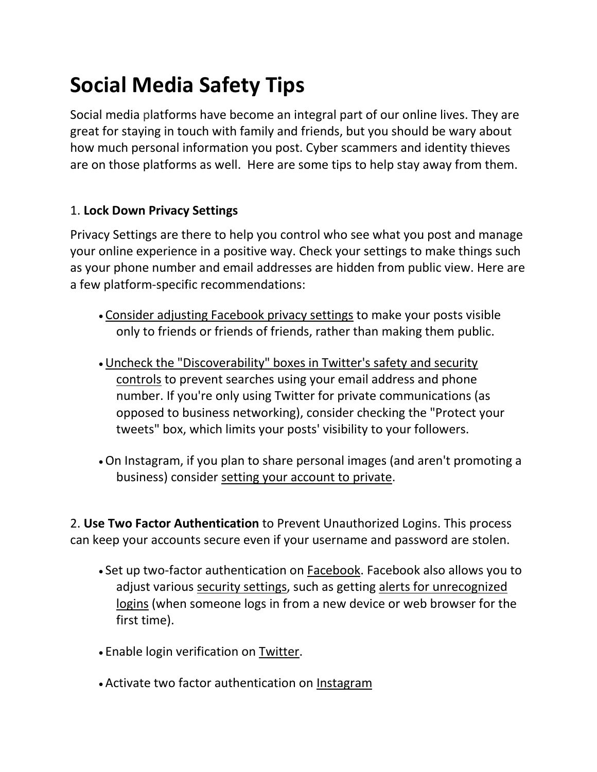# **Social Media Safety Tips**

Social media platforms have become an integral part of our online lives. They are great for staying in touch with family and friends, but you should be wary about how much personal information you post. Cyber scammers and identity thieves are on those platforms as well. Here are some tips to help stay away from them.

## 1. **Lock Down Privacy Settings**

Privacy Settings are there to help you control who see what you post and manage your online experience in a positive way. Check your settings to make things such as your phone number and email addresses are hidden from public view. Here are a few platform-specific recommendations:

- [Consider adjusting Facebook privacy settings](https://www.facebook.com/help/325807937506242/) to make your posts visible only to friends or friends of friends, rather than making them public.
- •[Uncheck the "Discoverability" boxes in Twitter's safety and security](https://help.twitter.com/en/safety-and-security#ads-and-data-privacy)  [controls](https://help.twitter.com/en/safety-and-security#ads-and-data-privacy) to prevent searches using your email address and phone number. If you're only using Twitter for private communications (as opposed to business networking), consider checking the "Protect your tweets" box, which limits your posts' visibility to your followers.
- •On Instagram, if you plan to share personal images (and aren't promoting a business) consider [setting your account to private.](https://help.instagram.com/448523408565555)

2. **Use Two Factor Authentication** to Prevent Unauthorized Logins. This process can keep your accounts secure even if your username and password are stolen.

- Set up two-factor authentication on [Facebook.](https://www.facebook.com/help/148233965247823) Facebook also allows you to adjust various [security settings,](https://www.facebook.com/settings?tab=security) such as getting alerts for unrecognized [logins](https://www.facebook.com/help/909243165853369/?helpref=hc_fnav) (when someone logs in from a new device or web browser for the first time).
- Enable login verification on [Twitter.](https://help.twitter.com/en/managing-your-account/two-factor-authentication)
- Activate two factor authentication on [Instagram](https://help.instagram.com/566810106808145)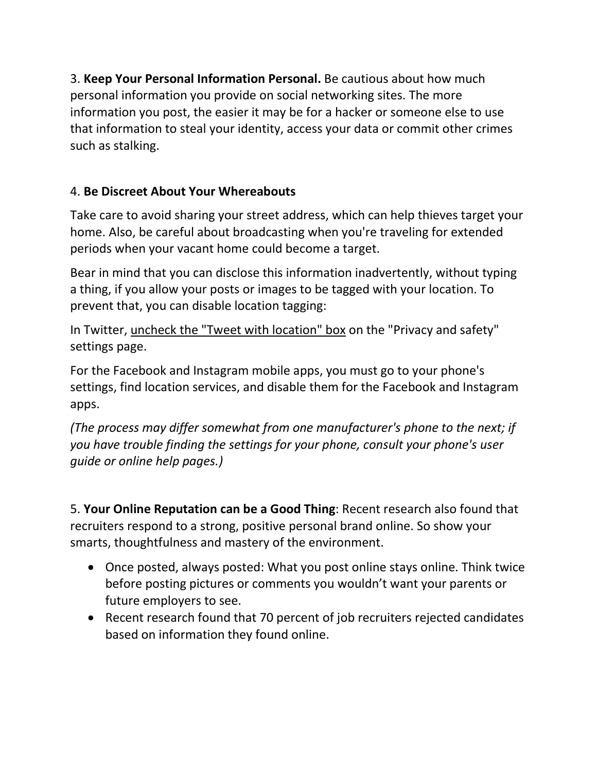3. **Keep Your Personal Information Personal.** Be cautious about how much personal information you provide on social networking sites. The more information you post, the easier it may be for a hacker or someone else to use that information to steal your identity, access your data or commit other crimes such as stalking.

## 4. **Be Discreet About Your Whereabouts**

Take care to avoid sharing your street address, which can help thieves target your home. Also, be careful about broadcasting when you're traveling for extended periods when your vacant home could become a target.

Bear in mind that you can disclose this information inadvertently, without typing a thing, if you allow your posts or images to be tagged with your location. To prevent that, you can disable location tagging:

In Twitter, [uncheck the "Tweet with location" box](https://help.twitter.com/en/search?q=location) on the "Privacy and safety" settings page.

For the Facebook and Instagram mobile apps, you must go to your phone's settings, find location services, and disable them for the Facebook and Instagram apps.

*(The process may differ somewhat from one manufacturer's phone to the next; if you have trouble finding the settings for your phone, consult your phone's user guide or online help pages.)*

5. **Your Online Reputation can be a Good Thing**: Recent research also found that recruiters respond to a strong, positive personal brand online. So show your smarts, thoughtfulness and mastery of the environment.

- Once posted, always posted: What you post online stays online. Think twice before posting pictures or comments you wouldn't want your parents or future employers to see.
- Recent research found that 70 percent of job recruiters rejected candidates based on information they found online.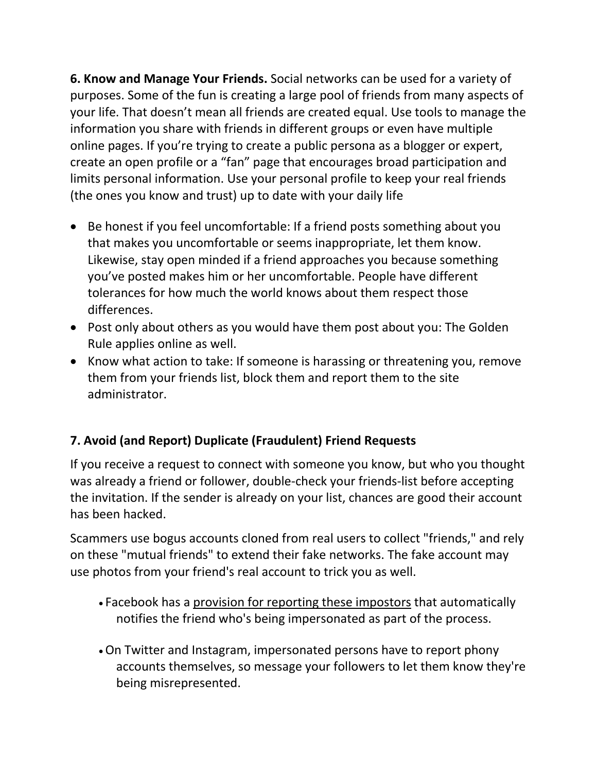**6. Know and Manage Your Friends.** Social networks can be used for a variety of purposes. Some of the fun is creating a large pool of friends from many aspects of your life. That doesn't mean all friends are created equal. Use tools to manage the information you share with friends in different groups or even have multiple online pages. If you're trying to create a public persona as a blogger or expert, create an open profile or a "fan" page that encourages broad participation and limits personal information. Use your personal profile to keep your real friends (the ones you know and trust) up to date with your daily life

- Be honest if you feel uncomfortable: If a friend posts something about you that makes you uncomfortable or seems inappropriate, let them know. Likewise, stay open minded if a friend approaches you because something you've posted makes him or her uncomfortable. People have different tolerances for how much the world knows about them respect those differences.
- Post only about others as you would have them post about you: The Golden Rule applies online as well.
- Know what action to take: If someone is harassing or threatening you, remove them from your friends list, block them and report them to the site administrator.

# **7. Avoid (and Report) Duplicate (Fraudulent) Friend Requests**

If you receive a request to connect with someone you know, but who you thought was already a friend or follower, double-check your friends-list before accepting the invitation. If the sender is already on your list, chances are good their account has been hacked.

Scammers use bogus accounts cloned from real users to collect "friends," and rely on these "mutual friends" to extend their fake networks. The fake account may use photos from your friend's real account to trick you as well.

- Facebook has a [provision for reporting these impostors](https://www.facebook.com/help/167722253287296?helpref=faq_content) that automatically notifies the friend who's being impersonated as part of the process.
- •On Twitter and Instagram, impersonated persons have to report phony accounts themselves, so message your followers to let them know they're being misrepresented.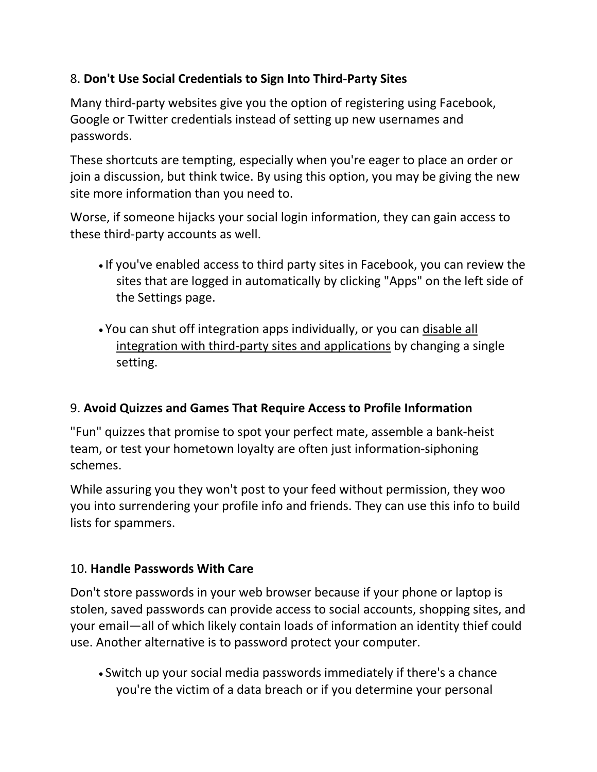## 8. **Don't Use Social Credentials to Sign Into Third-Party Sites**

Many third-party websites give you the option of registering using Facebook, Google or Twitter credentials instead of setting up new usernames and passwords.

These shortcuts are tempting, especially when you're eager to place an order or join a discussion, but think twice. By using this option, you may be giving the new site more information than you need to.

Worse, if someone hijacks your social login information, they can gain access to these third-party accounts as well.

- If you've enabled access to third party sites in Facebook, you can review the sites that are logged in automatically by clicking "Apps" on the left side of the Settings page.
- You can shut off integration apps individually, or you can [disable all](https://www.facebook.com/help/211829542181913)  [integration with third-party sites and applications](https://www.facebook.com/help/211829542181913) by changing a single setting.

## 9. **Avoid Quizzes and Games That Require Access to Profile Information**

"Fun" quizzes that promise to spot your perfect mate, assemble a bank-heist team, or test your hometown loyalty are often just information-siphoning schemes.

While assuring you they won't post to your feed without permission, they woo you into surrendering your profile info and friends. They can use this info to build lists for spammers.

## 10. **Handle Passwords With Care**

Don't store passwords in your web browser because if your phone or laptop is stolen, saved passwords can provide access to social accounts, shopping sites, and your email—all of which likely contain loads of information an identity thief could use. Another alternative is to password protect your computer.

• Switch up your social media passwords immediately if there's a chance you're the victim of a data breach or if you determine your personal